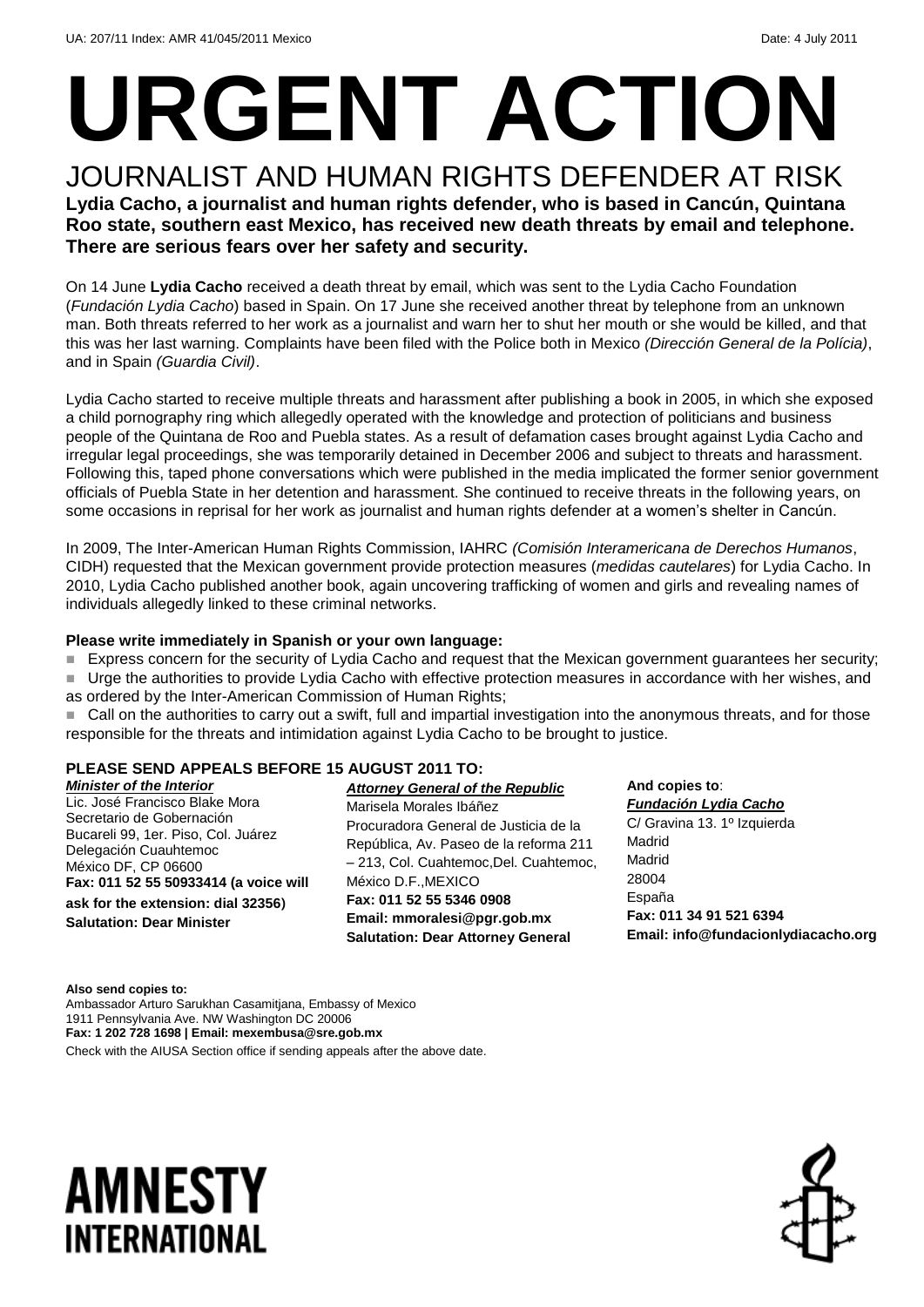# **URGENT ACTION**

### JOURNALIST AND HUMAN RIGHTS DEFENDER AT RISK **Lydia Cacho, a journalist and human rights defender, who is based in Cancún, Quintana Roo state, southern east Mexico, has received new death threats by email and telephone. There are serious fears over her safety and security.**

On 14 June **Lydia Cacho** received a death threat by email, which was sent to the Lydia Cacho Foundation (*Fundación Lydia Cacho*) based in Spain. On 17 June she received another threat by telephone from an unknown man. Both threats referred to her work as a journalist and warn her to shut her mouth or she would be killed, and that this was her last warning. Complaints have been filed with the Police both in Mexico *(Dirección General de la Polícia)*, and in Spain *(Guardia Civil)*.

Lydia Cacho started to receive multiple threats and harassment after publishing a book in 2005, in which she exposed a child pornography ring which allegedly operated with the knowledge and protection of politicians and business people of the Quintana de Roo and Puebla states. As a result of defamation cases brought against Lydia Cacho and irregular legal proceedings, she was temporarily detained in December 2006 and subject to threats and harassment. Following this, taped phone conversations which were published in the media implicated the former senior government officials of Puebla State in her detention and harassment. She continued to receive threats in the following years, on some occasions in reprisal for her work as journalist and human rights defender at a women's shelter in Cancún.

In 2009, The Inter-American Human Rights Commission, IAHRC *(Comisión Interamericana de Derechos Humanos*, CIDH) requested that the Mexican government provide protection measures (*medidas cautelares*) for Lydia Cacho. In 2010, Lydia Cacho published another book, again uncovering trafficking of women and girls and revealing names of individuals allegedly linked to these criminal networks.

#### **Please write immediately in Spanish or your own language:**

- Express concern for the security of Lydia Cacho and request that the Mexican government guarantees her security;
- Urge the authorities to provide Lydia Cacho with effective protection measures in accordance with her wishes, and as ordered by the Inter-American Commission of Human Rights;

 Call on the authorities to carry out a swift, full and impartial investigation into the anonymous threats, and for those responsible for the threats and intimidation against Lydia Cacho to be brought to justice.

#### **PLEASE SEND APPEALS BEFORE 15 AUGUST 2011 TO:**

*Minister of the Interior* Lic. José Francisco Blake Mora Secretario de Gobernación Bucareli 99, 1er. Piso, Col. Juárez Delegación Cuauhtemoc México DF, CP 06600 **Fax: 011 52 55 50933414 (a voice will** 

**ask for the extension: dial 32356) Salutation: Dear Minister**

*Attorney General of the Republic* Marisela Morales Ibáñez Procuradora General de Justicia de la República, Av. Paseo de la reforma 211 – 213, Col. Cuahtemoc,Del. Cuahtemoc, México D.F.,MEXICO **Fax: 011 52 55 5346 0908 Email: mmoralesi@pgr.gob.mx Salutation: Dear Attorney General**

**And copies to**: *Fundación Lydia Cacho*  C/ Gravina 13. 1º Izquierda Madrid Madrid 28004 España **Fax: 011 34 91 521 6394 Email: info@fundacionlydiacacho.org**

#### **Also send copies to:**

Ambassador Arturo Sarukhan Casamitjana, Embassy of Mexico 1911 Pennsylvania Ave. NW Washington DC 20006 **Fax: 1 202 728 1698 | Email: mexembusa@sre.gob.mx**  Check with the AIUSA Section office if sending appeals after the above date.

## **AMNESTY** INTERNATIONAL